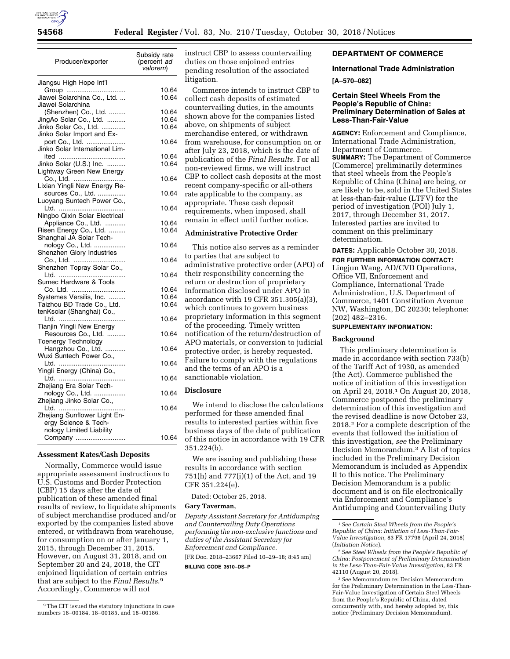

| Producer/exporter                                         | Subsidy rate<br>(percent ad<br>valorem) |
|-----------------------------------------------------------|-----------------------------------------|
| Jiangsu High Hope Int'l                                   | 10.64                                   |
| Group<br>Jiawei Solarchina Co., Ltd.<br>Jiawei Solarchina | 10.64                                   |
| (Shenzhen) Co., Ltd.                                      | 10.64                                   |
| JingAo Solar Co., Ltd.<br>Jinko Solar Co., Ltd.           | 10.64<br>10.64                          |
| Jinko Solar Import and Ex-                                |                                         |
| port Co., Ltd.<br>Jinko Solar International Lim-          | 10.64                                   |
|                                                           | 10.64                                   |
| Jinko Solar (U.S.) Inc.                                   | 10.64                                   |
| Lightway Green New Energy<br>Co., Ltd.                    | 10.64                                   |
| Lixian Yingli New Energy Re-                              |                                         |
| sources Co., Ltd.                                         | 10.64                                   |
| Luoyang Suntech Power Co.,                                | 10.64                                   |
| Ningbo Qixin Solar Electrical                             |                                         |
| Appliance Co., Ltd.<br>Risen Energy Co., Ltd.             | 10.64<br>10.64                          |
| Shanghai JA Solar Tech-                                   |                                         |
| nology Co., Ltd.                                          | 10.64                                   |
| Shenzhen Glory Industries<br>Co., Ltd.                    | 10.64                                   |
| Shenzhen Topray Solar Co.,                                |                                         |
| Sumec Hardware & Tools                                    | 10.64                                   |
| Co. Ltd. ………………………                                        | 10.64                                   |
| Systemes Versilis, Inc.                                   | 10.64                                   |
| Taizhou BD Trade Co., Ltd.<br>tenKsolar (Shanghai) Co.,   | 10.64                                   |
|                                                           | 10.64                                   |
| Tianjin Yingli New Energy                                 |                                         |
| Resources Co., Ltd.<br><b>Toenergy Technology</b>         | 10.64                                   |
| Hangzhou Co., Ltd.                                        | 10.64                                   |
| Wuxi Suntech Power Co.,                                   | 10.64                                   |
| Yingli Energy (China) Co.,                                |                                         |
|                                                           | 10.64                                   |
| Zhejiang Era Solar Tech-<br>nology Co., Ltd.              | 10.64                                   |
| Zhejiang Jinko Solar Co.,                                 |                                         |
| Zhejiang Sunflower Light En-                              | 10.64                                   |
| ergy Science & Tech-                                      |                                         |
| nology Limited Liability                                  |                                         |
| Company                                                   | 10.64                                   |

#### **Assessment Rates/Cash Deposits**

Normally, Commerce would issue appropriate assessment instructions to U.S. Customs and Border Protection (CBP) 15 days after the date of publication of these amended final results of review, to liquidate shipments of subject merchandise produced and/or exported by the companies listed above entered, or withdrawn from warehouse, for consumption on or after January 1, 2015, through December 31, 2015. However, on August 31, 2018, and on September 20 and 24, 2018, the CIT enjoined liquidation of certain entries that are subject to the *Final Results*.9 Accordingly, Commerce will not

instruct CBP to assess countervailing duties on those enjoined entries pending resolution of the associated litigation.

Commerce intends to instruct CBP to collect cash deposits of estimated countervailing duties, in the amounts shown above for the companies listed above, on shipments of subject merchandise entered, or withdrawn from warehouse, for consumption on or after July 23, 2018, which is the date of publication of the *Final Results.* For all non-reviewed firms, we will instruct CBP to collect cash deposits at the most recent company-specific or all-others rate applicable to the company, as appropriate. These cash deposit requirements, when imposed, shall remain in effect until further notice.

### **Administrative Protective Order**

This notice also serves as a reminder to parties that are subject to administrative protective order (APO) of their responsibility concerning the return or destruction of proprietary information disclosed under APO in accordance with 19 CFR 351.305(a)(3), which continues to govern business proprietary information in this segment of the proceeding. Timely written notification of the return/destruction of APO materials, or conversion to judicial protective order, is hereby requested. Failure to comply with the regulations and the terms of an APO is a sanctionable violation.

### **Disclosure**

We intend to disclose the calculations performed for these amended final results to interested parties within five business days of the date of publication of this notice in accordance with 19 CFR 351.224(b).

We are issuing and publishing these results in accordance with section 751(h) and 777(i)(1) of the Act, and 19 CFR 351.224(e).

Dated: October 25, 2018.

### **Gary Taverman,**

*Deputy Assistant Secretary for Antidumping and Countervailing Duty Operations performing the non-exclusive functions and duties of the Assistant Secretary for Enforcement and Compliance.*  [FR Doc. 2018–23667 Filed 10–29–18; 8:45 am]

**BILLING CODE 3510–DS–P** 

# **DEPARTMENT OF COMMERCE**

### **International Trade Administration**

### **[A–570–082]**

## **Certain Steel Wheels From the People's Republic of China: Preliminary Determination of Sales at Less-Than-Fair-Value**

**AGENCY:** Enforcement and Compliance, International Trade Administration, Department of Commerce. **SUMMARY:** The Department of Commerce (Commerce) preliminarily determines that steel wheels from the People's Republic of China (China) are being, or are likely to be, sold in the United States at less-than-fair-value (LTFV) for the period of investigation (POI) July 1, 2017, through December 31, 2017. Interested parties are invited to comment on this preliminary determination.

**DATES:** Applicable October 30, 2018.

**FOR FURTHER INFORMATION CONTACT:**  Lingjun Wang, AD/CVD Operations, Office VII, Enforcement and Compliance, International Trade Administration, U.S. Department of Commerce, 1401 Constitution Avenue NW, Washington, DC 20230; telephone: (202) 482–2316.

### **SUPPLEMENTARY INFORMATION:**

#### **Background**

This preliminary determination is made in accordance with section 733(b) of the Tariff Act of 1930, as amended (the Act). Commerce published the notice of initiation of this investigation on April 24, 2018.1 On August 20, 2018, Commerce postponed the preliminary determination of this investigation and the revised deadline is now October 23, 2018.2 For a complete description of the events that followed the initiation of this investigation, *see* the Preliminary Decision Memorandum.3 A list of topics included in the Preliminary Decision Memorandum is included as Appendix II to this notice. The Preliminary Decision Memorandum is a public document and is on file electronically via Enforcement and Compliance's Antidumping and Countervailing Duty

<sup>9</sup>The CIT issued the statutory injunctions in case numbers 18–00184, 18–00185, and 18–00186.

<sup>1</sup>*See Certain Steel Wheels from the People's Republic of China: Initiation of Less-Than-Fair-Value Investigation,* 83 FR 17798 (April 24, 2018) (*Initiation Notice*).

<sup>2</sup>*See Steel Wheels from the People's Republic of China: Postponement of Preliminary Determination in the Less-Than-Fair-Value Investigation,* 83 FR 42110 (August 20, 2018).

<sup>3</sup>*See* Memorandum re: Decision Memorandum for the Preliminary Determination in the Less-Than-Fair-Value Investigation of Certain Steel Wheels from the People's Republic of China, dated concurrently with, and hereby adopted by, this notice (Preliminary Decision Memorandum).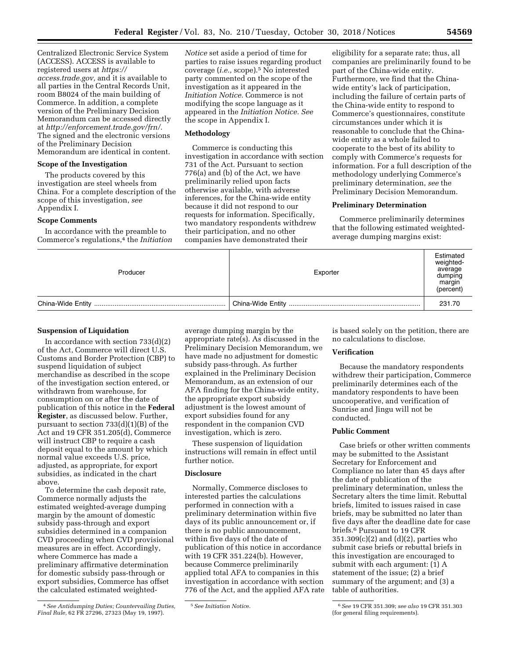Centralized Electronic Service System (ACCESS). ACCESS is available to registered users at *[https://](https://access.trade.gov) [access.trade.gov,](https://access.trade.gov)* and it is available to all parties in the Central Records Unit, room B8024 of the main building of Commerce. In addition, a complete version of the Preliminary Decision Memorandum can be accessed directly at *[http://enforcement.trade.gov/frn/.](http://enforcement.trade.gov/frn/)*  The signed and the electronic versions of the Preliminary Decision Memorandum are identical in content.

### **Scope of the Investigation**

The products covered by this investigation are steel wheels from China. For a complete description of the scope of this investigation, *see*  Appendix I.

#### **Scope Comments**

In accordance with the preamble to Commerce's regulations,4 the *Initiation*  *Notice* set aside a period of time for parties to raise issues regarding product coverage (*i.e.,* scope).5 No interested party commented on the scope of the investigation as it appeared in the *Initiation Notice.* Commerce is not modifying the scope language as it appeared in the *Initiation Notice. See*  the scope in Appendix I.

# **Methodology**

Commerce is conducting this investigation in accordance with section 731 of the Act. Pursuant to section 776(a) and (b) of the Act, we have preliminarily relied upon facts otherwise available, with adverse inferences, for the China-wide entity because it did not respond to our requests for information. Specifically, two mandatory respondents withdrew their participation, and no other companies have demonstrated their

eligibility for a separate rate; thus, all companies are preliminarily found to be part of the China-wide entity. Furthermore, we find that the Chinawide entity's lack of participation, including the failure of certain parts of the China-wide entity to respond to Commerce's questionnaires, constitute circumstances under which it is reasonable to conclude that the Chinawide entity as a whole failed to cooperate to the best of its ability to comply with Commerce's requests for information. For a full description of the methodology underlying Commerce's preliminary determination, *see* the Preliminary Decision Memorandum.

## **Preliminary Determination**

Commerce preliminarily determines that the following estimated weightedaverage dumping margins exist:

| Producer | Exporter | Estimated<br>weighted-<br>average<br>dumping<br>margin<br>(percent) |
|----------|----------|---------------------------------------------------------------------|
|          |          | 231.70                                                              |

### **Suspension of Liquidation**

In accordance with section  $733(d)(2)$ of the Act, Commerce will direct U.S. Customs and Border Protection (CBP) to suspend liquidation of subject merchandise as described in the scope of the investigation section entered, or withdrawn from warehouse, for consumption on or after the date of publication of this notice in the **Federal Register**, as discussed below. Further, pursuant to section 733(d)(1)(B) of the Act and 19 CFR 351.205(d), Commerce will instruct CBP to require a cash deposit equal to the amount by which normal value exceeds U.S. price, adjusted, as appropriate, for export subsidies, as indicated in the chart above.

To determine the cash deposit rate, Commerce normally adjusts the estimated weighted-average dumping margin by the amount of domestic subsidy pass-through and export subsidies determined in a companion CVD proceeding when CVD provisional measures are in effect. Accordingly, where Commerce has made a preliminary affirmative determination for domestic subsidy pass-through or export subsidies, Commerce has offset the calculated estimated weighted-

average dumping margin by the appropriate rate(s). As discussed in the Preliminary Decision Memorandum, we have made no adjustment for domestic subsidy pass-through. As further explained in the Preliminary Decision Memorandum, as an extension of our AFA finding for the China-wide entity, the appropriate export subsidy adjustment is the lowest amount of export subsidies found for any respondent in the companion CVD investigation, which is zero.

These suspension of liquidation instructions will remain in effect until further notice.

### **Disclosure**

Normally, Commerce discloses to interested parties the calculations performed in connection with a preliminary determination within five days of its public announcement or, if there is no public announcement, within five days of the date of publication of this notice in accordance with 19 CFR 351.224(b). However, because Commerce preliminarily applied total AFA to companies in this investigation in accordance with section 776 of the Act, and the applied AFA rate is based solely on the petition, there are no calculations to disclose.

### **Verification**

Because the mandatory respondents withdrew their participation, Commerce preliminarily determines each of the mandatory respondents to have been uncooperative, and verification of Sunrise and Jingu will not be conducted.

## **Public Comment**

Case briefs or other written comments may be submitted to the Assistant Secretary for Enforcement and Compliance no later than 45 days after the date of publication of the preliminary determination, unless the Secretary alters the time limit. Rebuttal briefs, limited to issues raised in case briefs, may be submitted no later than five days after the deadline date for case briefs.6 Pursuant to 19 CFR 351.309(c)(2) and (d)(2), parties who submit case briefs or rebuttal briefs in this investigation are encouraged to submit with each argument: (1) A statement of the issue; (2) a brief summary of the argument; and (3) a table of authorities.

<sup>4</sup>*See Antidumping Duties; Countervailing Duties, Final Rule,* 62 FR 27296, 27323 (May 19, 1997).

<sup>5</sup>*See Initiation Notic*e. 6*See* 19 CFR 351.309; *see also* 19 CFR 351.303 (for general filing requirements).